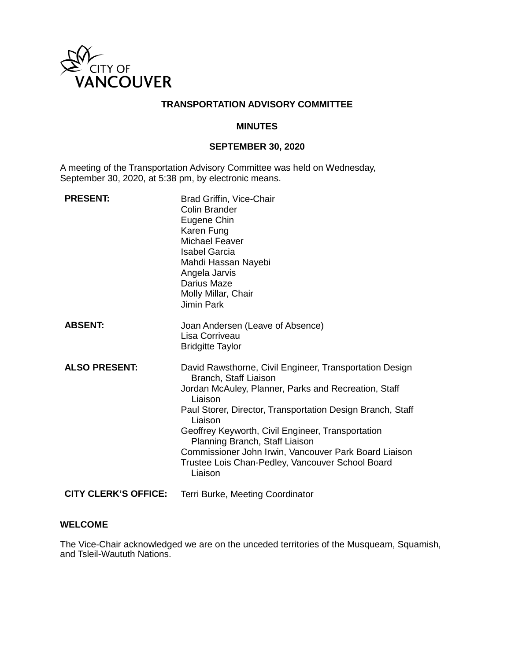

### **TRANSPORTATION ADVISORY COMMITTEE**

### **MINUTES**

## **SEPTEMBER 30, 2020**

A meeting of the Transportation Advisory Committee was held on Wednesday, September 30, 2020, at 5:38 pm, by electronic means.

| <b>PRESENT:</b>             | Brad Griffin, Vice-Chair<br>Colin Brander<br>Eugene Chin<br>Karen Fung<br><b>Michael Feaver</b><br><b>Isabel Garcia</b><br>Mahdi Hassan Nayebi<br>Angela Jarvis<br>Darius Maze<br>Molly Millar, Chair<br><b>Jimin Park</b>                                                                                                                                                                                                                  |
|-----------------------------|---------------------------------------------------------------------------------------------------------------------------------------------------------------------------------------------------------------------------------------------------------------------------------------------------------------------------------------------------------------------------------------------------------------------------------------------|
| <b>ABSENT:</b>              | Joan Andersen (Leave of Absence)<br>Lisa Corriveau<br><b>Bridgitte Taylor</b>                                                                                                                                                                                                                                                                                                                                                               |
| <b>ALSO PRESENT:</b>        | David Rawsthorne, Civil Engineer, Transportation Design<br>Branch, Staff Liaison<br>Jordan McAuley, Planner, Parks and Recreation, Staff<br>Liaison<br>Paul Storer, Director, Transportation Design Branch, Staff<br>Liaison<br>Geoffrey Keyworth, Civil Engineer, Transportation<br>Planning Branch, Staff Liaison<br>Commissioner John Irwin, Vancouver Park Board Liaison<br>Trustee Lois Chan-Pedley, Vancouver School Board<br>Liaison |
| <b>CITY CLERK'S OFFICE:</b> | Terri Burke, Meeting Coordinator                                                                                                                                                                                                                                                                                                                                                                                                            |

### **WELCOME**

The Vice-Chair acknowledged we are on the unceded territories of the Musqueam, Squamish, and Tsleil-Waututh Nations.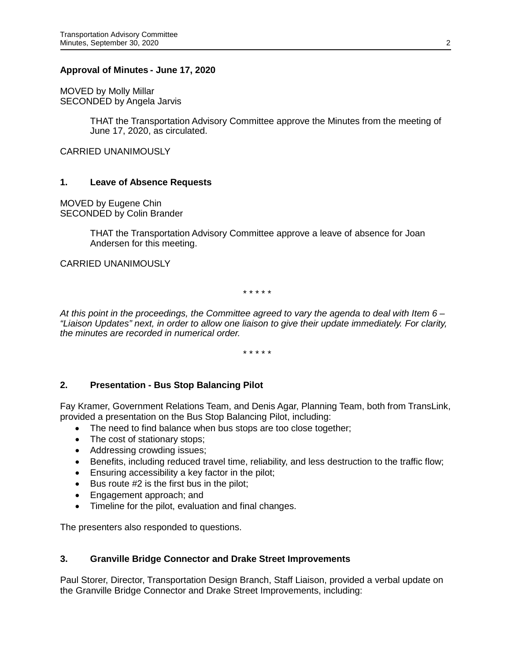#### **Approval of Minutes - June 17, 2020**

MOVED by Molly Millar SECONDED by Angela Jarvis

> THAT the Transportation Advisory Committee approve the Minutes from the meeting of June 17, 2020, as circulated.

CARRIED UNANIMOUSLY

#### **1. Leave of Absence Requests**

MOVED by Eugene Chin SECONDED by Colin Brander

> THAT the Transportation Advisory Committee approve a leave of absence for Joan Andersen for this meeting.

#### CARRIED UNANIMOUSLY

\* \* \* \* \*

*At this point in the proceedings, the Committee agreed to vary the agenda to deal with Item 6 – "Liaison Updates" next, in order to allow one liaison to give their update immediately. For clarity, the minutes are recorded in numerical order.*

\* \* \* \* \*

### **2. Presentation - Bus Stop Balancing Pilot**

Fay Kramer, Government Relations Team, and Denis Agar, Planning Team, both from TransLink, provided a presentation on the Bus Stop Balancing Pilot, including:

- The need to find balance when bus stops are too close together;
- The cost of stationary stops;
- Addressing crowding issues;
- Benefits, including reduced travel time, reliability, and less destruction to the traffic flow;
- Ensuring accessibility a key factor in the pilot;
- Bus route #2 is the first bus in the pilot;
- Engagement approach; and
- Timeline for the pilot, evaluation and final changes.

The presenters also responded to questions.

### **3. Granville Bridge Connector and Drake Street Improvements**

Paul Storer, Director, Transportation Design Branch, Staff Liaison, provided a verbal update on the Granville Bridge Connector and Drake Street Improvements, including: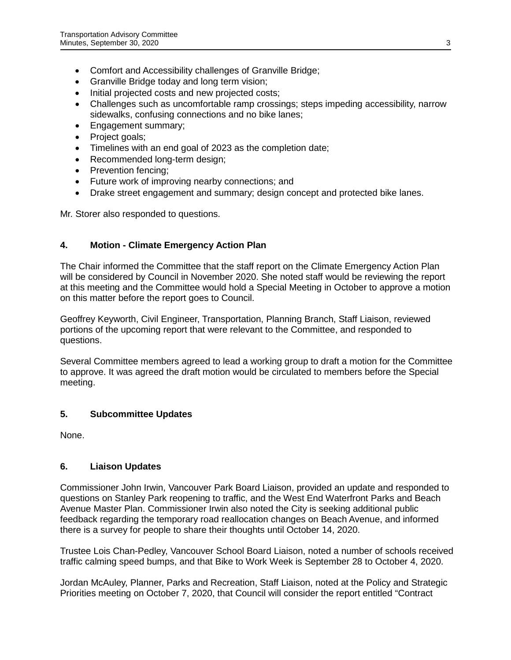- Comfort and Accessibility challenges of Granville Bridge;
- Granville Bridge today and long term vision;
- Initial projected costs and new projected costs;
- Challenges such as uncomfortable ramp crossings; steps impeding accessibility, narrow sidewalks, confusing connections and no bike lanes;
- Engagement summary;
- Project goals;
- Timelines with an end goal of 2023 as the completion date;
- Recommended long-term design;
- Prevention fencing:
- Future work of improving nearby connections; and
- Drake street engagement and summary; design concept and protected bike lanes.

Mr. Storer also responded to questions.

# **4. Motion - Climate Emergency Action Plan**

The Chair informed the Committee that the staff report on the Climate Emergency Action Plan will be considered by Council in November 2020. She noted staff would be reviewing the report at this meeting and the Committee would hold a Special Meeting in October to approve a motion on this matter before the report goes to Council.

Geoffrey Keyworth, Civil Engineer, Transportation, Planning Branch, Staff Liaison, reviewed portions of the upcoming report that were relevant to the Committee, and responded to questions.

Several Committee members agreed to lead a working group to draft a motion for the Committee to approve. It was agreed the draft motion would be circulated to members before the Special meeting.

### **5. Subcommittee Updates**

None.

### **6. Liaison Updates**

Commissioner John Irwin, Vancouver Park Board Liaison, provided an update and responded to questions on Stanley Park reopening to traffic, and the West End Waterfront Parks and Beach Avenue Master Plan. Commissioner Irwin also noted the City is seeking additional public feedback regarding the temporary road reallocation changes on Beach Avenue, and informed there is a survey for people to share their thoughts until October 14, 2020.

Trustee Lois Chan-Pedley, Vancouver School Board Liaison, noted a number of schools received traffic calming speed bumps, and that Bike to Work Week is September 28 to October 4, 2020.

Jordan McAuley, Planner, Parks and Recreation, Staff Liaison, noted at the Policy and Strategic Priorities meeting on October 7, 2020, that Council will consider the report entitled "Contract